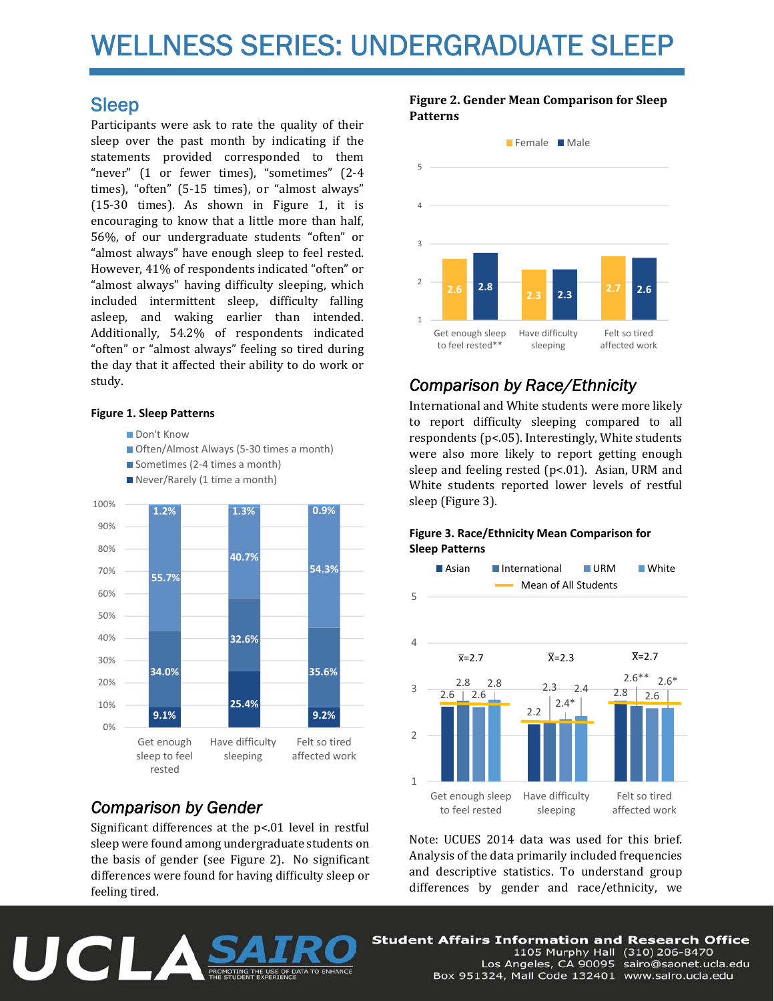# WELLNESS SERIES: UNDERGRADUATE SLEEP

### Sleep

Participants were ask to rate the quality of their sleep over the past month by indicating if the statements provided corresponded to them "never" (1 or fewer times), "sometimes" (2-4 times), "often" (5-15 times), or "almost always"  $(15-30$  times). As shown in Figure 1, it is encouraging to know that a little more than half, 56%, of our undergraduate students "often" or "almost always" have enough sleep to feel rested. However, 41% of respondents indicated "often" or "almost always" having difficulty sleeping, which included intermittent sleep, difficulty falling asleep, and waking earlier than intended. Additionally, 54.2% of respondents indicated "often" or "almost always" feeling so tired during the day that it affected their ability to do work or study. 

#### **Figure 1. Sleep Patterns**

Don't Know

- Often/Almost Always (5-30 times a month)
- Sometimes (2-4 times a month)
- Never/Rarely (1 time a month)



## *Comparison by Gender*

UCLA

Significant differences at the  $p<.01$  level in restful sleep were found among undergraduate students on the basis of gender (see Figure 2). No significant differences were found for having difficulty sleep or feeling tired.

**Figure 2. Gender Mean Comparison for Sleep Patterns**



## *Comparison by Race/Ethnicity*

International and White students were more likely to report difficulty sleeping compared to all respondents ( $p$ <.05). Interestingly, White students were also more likely to report getting enough sleep and feeling rested  $(p<.01)$ . Asian, URM and White students reported lower levels of restful sleep (Figure 3).

#### **Figure 3. Race/Ethnicity Mean Comparison for Sleep Patterns**



Note: UCUES 2014 data was used for this brief. Analysis of the data primarily included frequencies and descriptive statistics. To understand group differences by gender and race/ethnicity, we